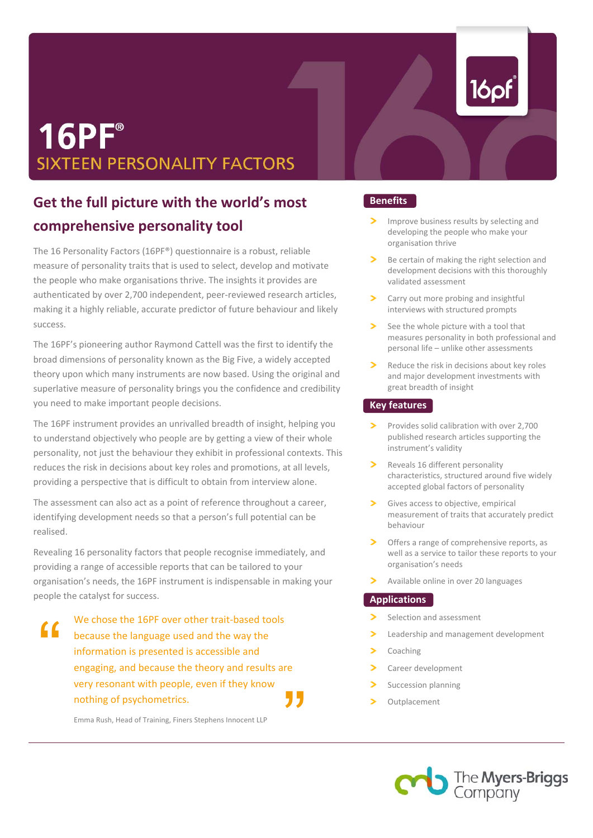# **16PF**® **SIXTEEN PERSONALITY FACTORS**

# **Get the full picture with the world's most comprehensive personality tool**

The 16 Personality Factors (16PF®) questionnaire is a robust, reliable measure of personality traits that is used to select, develop and motivate the people who make organisations thrive. The insights it provides are authenticated by over 2,700 independent, peer‐reviewed research articles, making it a highly reliable, accurate predictor of future behaviour and likely success.

The 16PF's pioneering author Raymond Cattell was the first to identify the broad dimensions of personality known as the Big Five, a widely accepted theory upon which many instruments are now based. Using the original and superlative measure of personality brings you the confidence and credibility you need to make important people decisions.

The 16PF instrument provides an unrivalled breadth of insight, helping you to understand objectively who people are by getting a view of their whole personality, not just the behaviour they exhibit in professional contexts. This reduces the risk in decisions about key roles and promotions, at all levels, providing a perspective that is difficult to obtain from interview alone.

The assessment can also act as a point of reference throughout a career, identifying development needs so that a person's full potential can be realised.

 people the catalyst for success. Revealing 16 personality factors that people recognise immediately, and providing a range of accessible reports that can be tailored to your organisation's needs, the 16PF instrument is indispensable in making your

information is presented is accessible and **Solution Studies 2 Separation** Coaching " We chose the 16PF over other trait-based tools because the language used and the way the engaging, and because the theory and results are very resonant with people, even if they know nothing of psychometrics. **"** 

Emma Rush, Head of Training, Finers Stephens Innocent LLP

# **Benefits**

- ↘ Improve business results by selecting and developing the people who make your organisation thrive
- Be certain of making the right selection and development decisions with this thoroughly validated assessment
- $\mathbf{v}$ Carry out more probing and insightful interviews with structured prompts
- See the whole picture with a tool that measures personality in both professional and personal life – unlike other assessments
- Reduce the risk in decisions about key roles and major development investments with great breadth of insight

# **Key features**

- Provides solid calibration with over 2,700 published research articles supporting the instrument's validity
- Reveals 16 different personality characteristics, structured around five widely accepted global factors of personality
- Gives access to objective, empirical measurement of traits that accurately predict behaviour
- Offers a range of comprehensive reports, as well as a service to tailor these reports to your organisation's needs
- Available online in over 20 languages

### **Applications**

- Selection and assessment
- $\rightarrow$ Leadership and management development
	- Coaching
- $\mathbf{z}$ Career development
- $\overline{\phantom{a}}$ Succession planning
- Outplacement